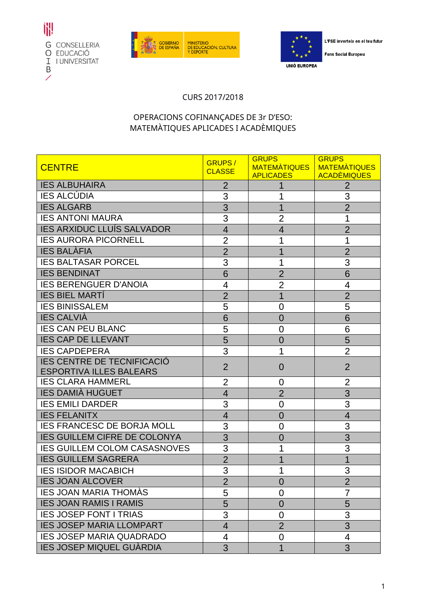





L'FSE inverteix en el teu futur

**Fons Social Europeu** 

## CURS 2017/2018

## OPERACIONS COFINANÇADES DE 3r D'ESO: MATEMÀTIQUES APLICADES I ACADÈMIQUES

| <b>CENTRE</b>                                                       | <b>GRUPS/</b><br><b>CLASSE</b> | <b>GRUPS</b><br>MATEMATIQUES<br><b>APLICADES</b> | <b>GRUPS</b><br><b>MATEMATIQUES</b><br><b>ACADÈMIQUES</b> |
|---------------------------------------------------------------------|--------------------------------|--------------------------------------------------|-----------------------------------------------------------|
| <b>IES ALBUHAIRA</b>                                                | $\overline{2}$                 |                                                  | $\overline{2}$                                            |
| <b>IES ALCÚDIA</b>                                                  | 3                              | 1                                                | 3                                                         |
| <b>IES ALGARB</b>                                                   | 3                              | 1                                                | $\overline{2}$                                            |
| <b>IES ANTONI MAURA</b>                                             | 3                              | $\overline{2}$                                   | 1                                                         |
| <b>IES ARXIDUC LLUÍS SALVADOR</b>                                   | $\overline{4}$                 | $\overline{4}$                                   | $\overline{2}$                                            |
| <b>IES AURORA PICORNELL</b>                                         | $\overline{2}$                 | 1                                                | 1                                                         |
| <b>IES BALÀFIA</b>                                                  | $\overline{2}$                 |                                                  | $\overline{2}$                                            |
| <b>IES BALTASAR PORCEL</b>                                          | 3                              | 1                                                | 3                                                         |
| <b>IES BENDINAT</b>                                                 | 6                              | $\overline{2}$                                   | 6                                                         |
| <b>IES BERENGUER D'ANOIA</b>                                        | 4                              | $\overline{2}$                                   | 4                                                         |
| <b>IES BIEL MARTI</b>                                               | $\overline{2}$                 | 1                                                | $\overline{2}$                                            |
| <b>IES BINISSALEM</b>                                               | 5                              | 0                                                | 5                                                         |
| <b>IES CALVIÀ</b>                                                   | 6                              | $\overline{0}$                                   | 6                                                         |
| <b>IES CAN PEU BLANC</b>                                            | 5                              | 0                                                | 6                                                         |
| <b>IES CAP DE LLEVANT</b>                                           | 5                              | $\overline{0}$                                   | 5                                                         |
| <b>IES CAPDEPERA</b>                                                | 3                              |                                                  | $\overline{2}$                                            |
| <b>IES CENTRE DE TECNIFICACIÓ</b><br><b>ESPORTIVA ILLES BALEARS</b> | $\overline{2}$                 | 0                                                | $\overline{2}$                                            |
| <b>IES CLARA HAMMERL</b>                                            | 2                              | 0                                                | $\overline{2}$                                            |
| <b>IES DAMIÀ HUGUET</b>                                             | $\overline{4}$                 | $\overline{2}$                                   | 3                                                         |
| <b>IES EMILI DARDER</b>                                             | 3                              | 0                                                | 3                                                         |
| <b>IES FELANITX</b>                                                 | $\overline{4}$                 | $\overline{0}$                                   | $\overline{4}$                                            |
| <b>IES FRANCESC DE BORJA MOLL</b>                                   | 3                              | 0                                                | 3                                                         |
| <b>IES GUILLEM CIFRE DE COLONYA</b>                                 | 3                              | 0                                                | 3                                                         |
| <b>IES GUILLEM COLOM CASASNOVES</b>                                 | 3                              |                                                  | 3                                                         |
| <b>IES GUILLEM SAGRERA</b>                                          | $\overline{2}$                 |                                                  | 1                                                         |
| <b>IES ISIDOR MACABICH</b>                                          | 3                              | 1                                                | 3                                                         |
| <b>IES JOAN ALCOVER</b>                                             | $\overline{2}$                 | 0                                                | $\overline{2}$                                            |
| <b>IES JOAN MARIA THOMAS</b>                                        | 5                              | 0                                                | 7                                                         |
| <b>IES JOAN RAMIS I RAMIS</b>                                       | 5                              | 0                                                | 5                                                         |
| <b>IES JOSEP FONT I TRIAS</b>                                       | 3                              | 0                                                | 3                                                         |
| <b>IES JOSEP MARIA LLOMPART</b>                                     | $\overline{4}$                 | $\overline{2}$                                   | $\overline{3}$                                            |
| <b>IES JOSEP MARIA QUADRADO</b>                                     | 4                              | 0                                                | 4                                                         |
| <b>IES JOSEP MIQUEL GUÀRDIA</b>                                     | 3                              | 1                                                | 3                                                         |